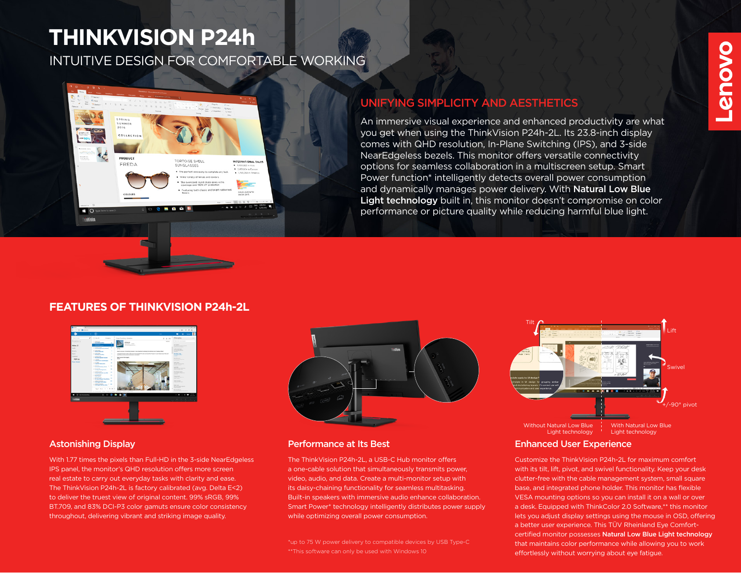# **THINKVISION P24h**

PRINC COLLECTIO

PRODUCT

**BO TrinMision** 

FREDA

INTUITIVE DESIGN FOR COMFORTABLE WORKING

**FORTOISE SHELL** 

SUNGLASSES Wide variety of lenses and colours lized round shape gives

. . . .

INTERNATIONAL SALES

# UNIFYING SIMPLICITY AND AESTHETICS

An immersive visual experience and enhanced productivity are what you get when using the ThinkVision P24h-2L. Its 23.8-inch display comes with QHD resolution, In-Plane Switching (IPS), and 3-side NearEdgeless bezels. This monitor offers versatile connectivity options for seamless collaboration in a multiscreen setup. Smart Power function\* intelligently detects overall power consumption and dynamically manages power delivery. With Natural Low Blue Light technology built in, this monitor doesn't compromise on color performance or picture quality while reducing harmful blue light.

## **FEATURES OF THINKVISION P24h-2L**



With 1.77 times the pixels than Full-HD in the 3-side NearEdgeless IPS panel, the monitor's QHD resolution offers more screen real estate to carry out everyday tasks with clarity and ease. The ThinkVision P24h-2L is factory calibrated (avg. Delta E<2) to deliver the truest view of original content. 99% sRGB, 99% BT.709, and 83% DCI-P3 color gamuts ensure color consistency throughout, delivering vibrant and striking image quality.



#### Astonishing Display **Performance at Its Best**

The ThinkVision P24h-2L, a USB-C Hub monitor offers a one-cable solution that simultaneously transmits power, video, audio, and data. Create a multi-monitor setup with its daisy-chaining functionality for seamless multitasking. Built-in speakers with immersive audio enhance collaboration. Smart Power\* technology intelligently distributes power supply while optimizing overall power consumption.

\*up to 75 W power delivery to compatible devices by USB Type-C \*\*This software can only be used with Windows 10



#### Enhanced User Experience

Customize the ThinkVision P24h-2L for maximum comfort with its tilt, lift, pivot, and swivel functionality. Keep your desk clutter-free with the cable management system, small square base, and integrated phone holder. This monitor has flexible VESA mounting options so you can install it on a wall or over a desk. Equipped with ThinkColor 2.0 Software,\*\* this monitor lets you adjust display settings using the mouse in OSD, offering a better user experience. This TÜV Rheinland Eye Comfortcertified monitor possesses Natural Low Blue Light technology that maintains color performance while allowing you to work effortlessly without worrying about eye fatigue.